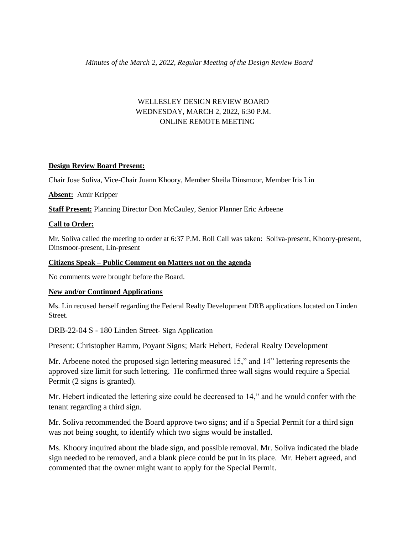# WELLESLEY DESIGN REVIEW BOARD WEDNESDAY, MARCH 2, 2022, 6:30 P.M. ONLINE REMOTE MEETING

# **Design Review Board Present:**

Chair Jose Soliva, Vice-Chair Juann Khoory, Member Sheila Dinsmoor, Member Iris Lin

**Absent:** Amir Kripper

**Staff Present:** Planning Director Don McCauley, Senior Planner Eric Arbeene

### **Call to Order:**

Mr. Soliva called the meeting to order at 6:37 P.M. Roll Call was taken: Soliva-present, Khoory-present, Dinsmoor-present, Lin-present

#### **Citizens Speak – Public Comment on Matters not on the agenda**

No comments were brought before the Board.

#### **New and/or Continued Applications**

Ms. Lin recused herself regarding the Federal Realty Development DRB applications located on Linden Street.

# DRB-22-04 S - 180 Linden Street- Sign Application

Present: Christopher Ramm, Poyant Signs; Mark Hebert, Federal Realty Development

Mr. Arbeene noted the proposed sign lettering measured 15," and 14" lettering represents the approved size limit for such lettering. He confirmed three wall signs would require a Special Permit (2 signs is granted).

Mr. Hebert indicated the lettering size could be decreased to 14," and he would confer with the tenant regarding a third sign.

Mr. Soliva recommended the Board approve two signs; and if a Special Permit for a third sign was not being sought, to identify which two signs would be installed.

Ms. Khoory inquired about the blade sign, and possible removal. Mr. Soliva indicated the blade sign needed to be removed, and a blank piece could be put in its place. Mr. Hebert agreed, and commented that the owner might want to apply for the Special Permit.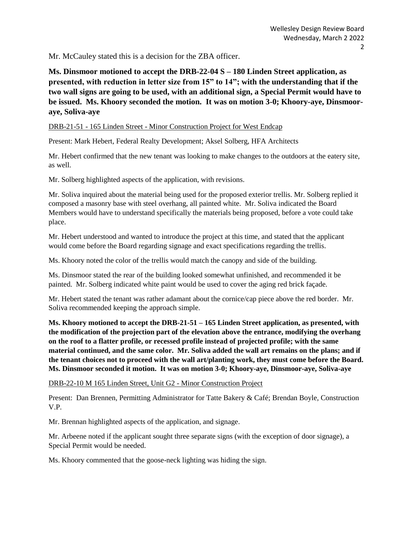Mr. McCauley stated this is a decision for the ZBA officer.

**Ms. Dinsmoor motioned to accept the DRB-22-04 S – 180 Linden Street application, as presented, with reduction in letter size from 15" to 14"; with the understanding that if the two wall signs are going to be used, with an additional sign, a Special Permit would have to be issued. Ms. Khoory seconded the motion. It was on motion 3-0; Khoory-aye, Dinsmooraye, Soliva-aye** 

### DRB-21-51 - 165 Linden Street - Minor Construction Project for West Endcap

Present: Mark Hebert, Federal Realty Development; Aksel Solberg, HFA Architects

Mr. Hebert confirmed that the new tenant was looking to make changes to the outdoors at the eatery site, as well.

Mr. Solberg highlighted aspects of the application, with revisions.

Mr. Soliva inquired about the material being used for the proposed exterior trellis. Mr. Solberg replied it composed a masonry base with steel overhang, all painted white. Mr. Soliva indicated the Board Members would have to understand specifically the materials being proposed, before a vote could take place.

Mr. Hebert understood and wanted to introduce the project at this time, and stated that the applicant would come before the Board regarding signage and exact specifications regarding the trellis.

Ms. Khoory noted the color of the trellis would match the canopy and side of the building.

Ms. Dinsmoor stated the rear of the building looked somewhat unfinished, and recommended it be painted. Mr. Solberg indicated white paint would be used to cover the aging red brick façade.

Mr. Hebert stated the tenant was rather adamant about the cornice/cap piece above the red border. Mr. Soliva recommended keeping the approach simple.

**Ms. Khoory motioned to accept the DRB-21-51 – 165 Linden Street application, as presented, with the modification of the projection part of the elevation above the entrance, modifying the overhang on the roof to a flatter profile, or recessed profile instead of projected profile; with the same material continued, and the same color. Mr. Soliva added the wall art remains on the plans; and if the tenant choices not to proceed with the wall art/planting work, they must come before the Board. Ms. Dinsmoor seconded it motion. It was on motion 3-0; Khoory-aye, Dinsmoor-aye, Soliva-aye**

DRB-22-10 M 165 Linden Street, Unit G2 - Minor Construction Project

Present: Dan Brennen, Permitting Administrator for Tatte Bakery & Café; Brendan Boyle, Construction V.P.

Mr. Brennan highlighted aspects of the application, and signage.

Mr. Arbeene noted if the applicant sought three separate signs (with the exception of door signage), a Special Permit would be needed.

Ms. Khoory commented that the goose-neck lighting was hiding the sign.